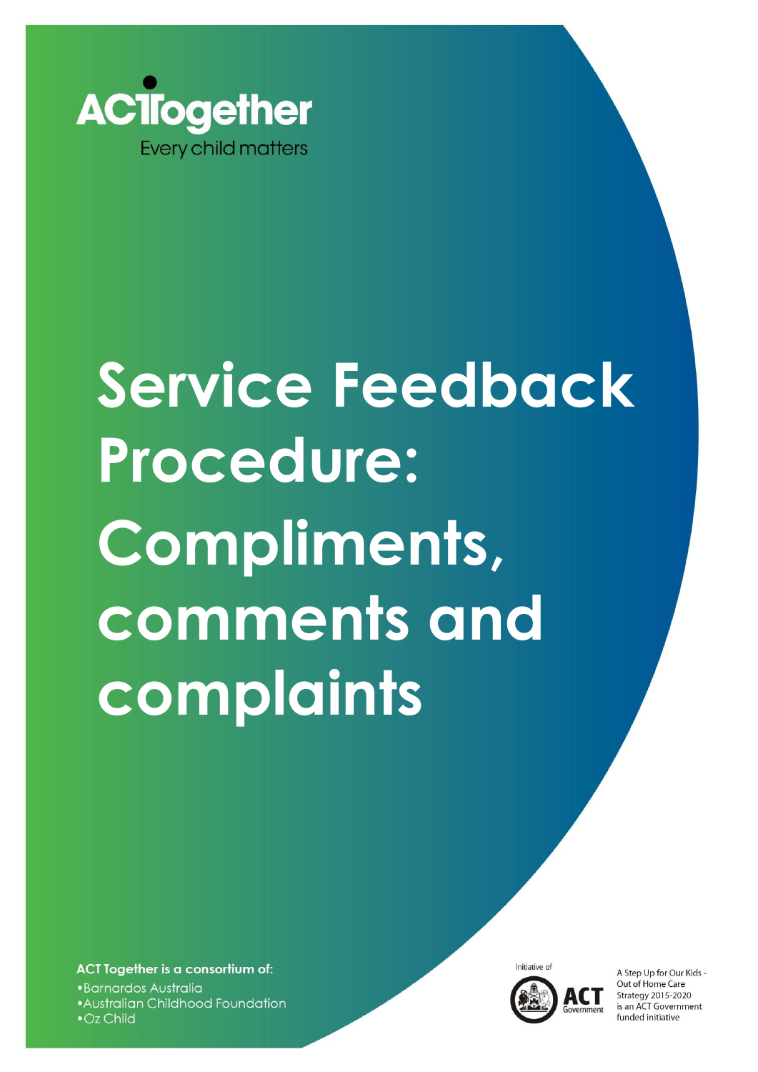

# **Service Feedback Procedure: Compliments, comments and complaints**

ACT Together is a consortium of: ·Barnardos Australia • Australian Childhood Foundation  $\bullet$  Oz Child



A Step Up for Our Kids -Out of Home Care Strategy 2015-2020 is an ACT Government funded initiative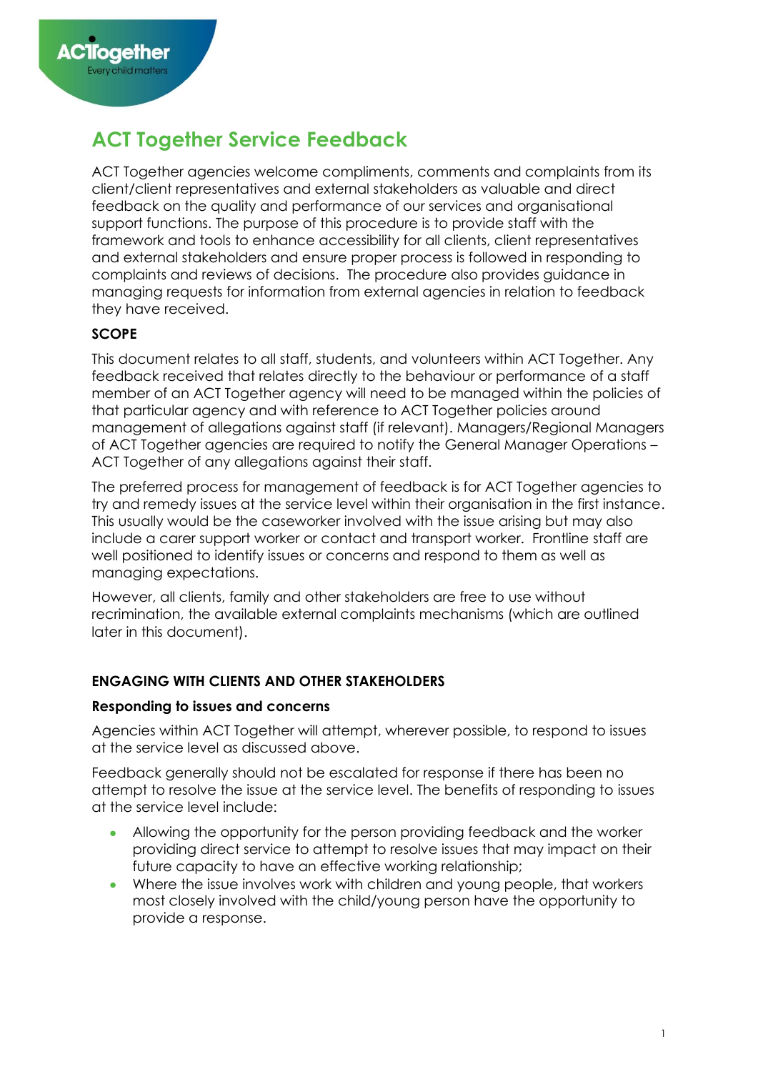# **ACT Together Service Feedback**

ACT Together agencies welcome compliments, comments and complaints from its client/client representatives and external stakeholders as valuable and direct feedback on the quality and performance of our services and organisational support functions. The purpose of this procedure is to provide staff with the framework and tools to enhance accessibility for all clients, client representatives and external stakeholders and ensure proper process is followed in responding to complaints and reviews of decisions. The procedure also provides guidance in managing requests for information from external agencies in relation to feedback they have received.

# **SCOPE**

This document relates to all staff, students, and volunteers within ACT Together. Any feedback received that relates directly to the behaviour or performance of a staff member of an ACT Together agency will need to be managed within the policies of that particular agency and with reference to ACT Together policies around management of allegations against staff (if relevant). Managers/Regional Managers of ACT Together agencies are required to notify the General Manager Operations – ACT Together of any allegations against their staff.

The preferred process for management of feedback is for ACT Together agencies to try and remedy issues at the service level within their organisation in the first instance. This usually would be the caseworker involved with the issue arising but may also include a carer support worker or contact and transport worker. Frontline staff are well positioned to identify issues or concerns and respond to them as well as managing expectations.

However, all clients, family and other stakeholders are free to use without recrimination, the available external complaints mechanisms (which are outlined later in this document).

# **ENGAGING WITH CLIENTS AND OTHER STAKEHOLDERS**

# **Responding to issues and concerns**

Agencies within ACT Together will attempt, wherever possible, to respond to issues at the service level as discussed above.

Feedback generally should not be escalated for response if there has been no attempt to resolve the issue at the service level. The benefits of responding to issues at the service level include:

- Allowing the opportunity for the person providing feedback and the worker providing direct service to attempt to resolve issues that may impact on their future capacity to have an effective working relationship;
- Where the issue involves work with children and young people, that workers most closely involved with the child/young person have the opportunity to provide a response.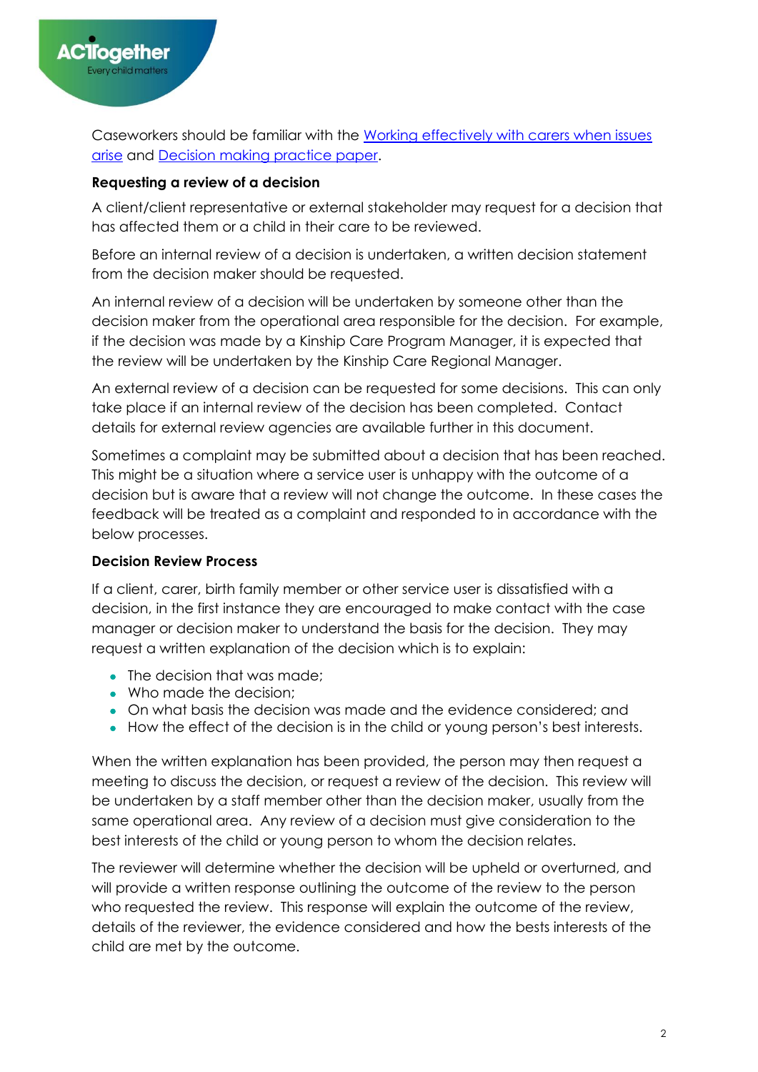Caseworkers should be familiar with the [Working effectively with carers when issues](https://barnardosau.sharepoint.com/sites/ACT-Together-Hub/ACT%20Together%20Hub/Forms/AllItems.aspx?id=%2Fsites%2FACT%2DTogether%2DHub%2FACT%20Together%20Hub%2FFoster%20%26%20Kinship%20Care%2FPolicies%20%26%20Procedures%2FWorking%20effectively%20with%20carers%20when%20issues%20arise%20%5F%20Policy%20and%20Practice%20Framework%2Epdf&parent=%2Fsites%2FACT%2DTogether%2DHub%2FACT%20Together%20Hub%2FFoster%20%26%20Kinship%20Care%2FPolicies%20%26%20Procedures)  [arise](https://barnardosau.sharepoint.com/sites/ACT-Together-Hub/ACT%20Together%20Hub/Forms/AllItems.aspx?id=%2Fsites%2FACT%2DTogether%2DHub%2FACT%20Together%20Hub%2FFoster%20%26%20Kinship%20Care%2FPolicies%20%26%20Procedures%2FWorking%20effectively%20with%20carers%20when%20issues%20arise%20%5F%20Policy%20and%20Practice%20Framework%2Epdf&parent=%2Fsites%2FACT%2DTogether%2DHub%2FACT%20Together%20Hub%2FFoster%20%26%20Kinship%20Care%2FPolicies%20%26%20Procedures) and [Decision making practice paper.](https://barnardosau.sharepoint.com/sites/ACT-Together-Hub/ACT%20Together%20Hub/Foster%20%26%20Kinship%20Care/Policies%20%26%20Procedures/Decision%20Making%20Practice%20Guide.pdf?web=1)

# **Requesting a review of a decision**

A client/client representative or external stakeholder may request for a decision that has affected them or a child in their care to be reviewed.

Before an internal review of a decision is undertaken, a written decision statement from the decision maker should be requested.

An internal review of a decision will be undertaken by someone other than the decision maker from the operational area responsible for the decision. For example, if the decision was made by a Kinship Care Program Manager, it is expected that the review will be undertaken by the Kinship Care Regional Manager.

An external review of a decision can be requested for some decisions. This can only take place if an internal review of the decision has been completed. Contact details for external review agencies are available further in this document.

Sometimes a complaint may be submitted about a decision that has been reached. This might be a situation where a service user is unhappy with the outcome of a decision but is aware that a review will not change the outcome. In these cases the feedback will be treated as a complaint and responded to in accordance with the below processes.

# **Decision Review Process**

If a client, carer, birth family member or other service user is dissatisfied with a decision, in the first instance they are encouraged to make contact with the case manager or decision maker to understand the basis for the decision. They may request a written explanation of the decision which is to explain:

- The decision that was made:
- Who made the decision:
- On what basis the decision was made and the evidence considered; and
- How the effect of the decision is in the child or young person's best interests.

When the written explanation has been provided, the person may then request a meeting to discuss the decision, or request a review of the decision. This review will be undertaken by a staff member other than the decision maker, usually from the same operational area. Any review of a decision must give consideration to the best interests of the child or young person to whom the decision relates.

The reviewer will determine whether the decision will be upheld or overturned, and will provide a written response outlining the outcome of the review to the person who requested the review. This response will explain the outcome of the review, details of the reviewer, the evidence considered and how the bests interests of the child are met by the outcome.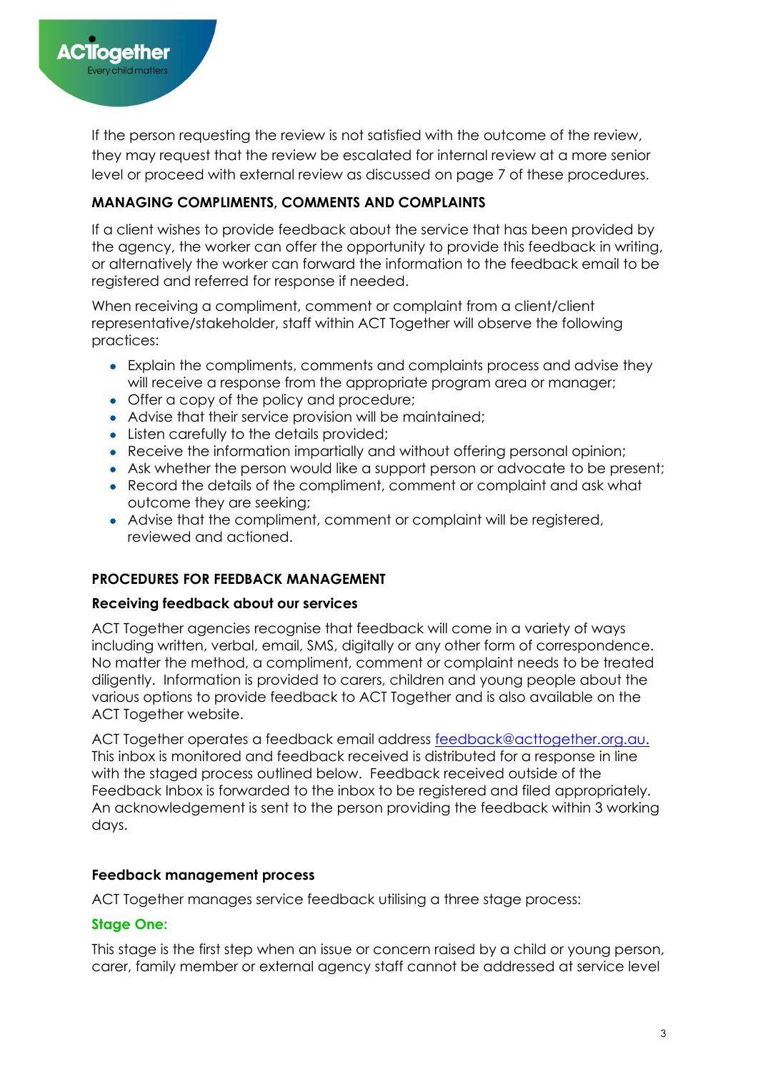

If the person requesting the review is not satisfied with the outcome of the review, they may request that the review be escalated for internal review at a more senior level or proceed with external review as discussed on page 7 of these procedures.

# **MANAGING COMPLIMENTS, COMMENTS AND COMPLAINTS**

If a client wishes to provide feedback about the service that has been provided by the agency, the worker can offer the opportunity to provide this feedback in writing, or alternatively the worker can forward the information to the feedback email to be registered and referred for response if needed.

When receiving a compliment, comment or complaint from a client/client representative/stakeholder, staff within ACT Together will observe the following practices:

- Explain the compliments, comments and complaints process and advise they will receive a response from the appropriate program area or manager;
- Offer a copy of the policy and procedure;
- Advise that their service provision will be maintained;
- Listen carefully to the details provided;
- Receive the information impartially and without offering personal opinion;
- Ask whether the person would like a support person or advocate to be present;
- Record the details of the compliment, comment or complaint and ask what outcome they are seeking;
- Advise that the compliment, comment or complaint will be registered, reviewed and actioned.

# **PROCEDURES FOR FEEDBACK MANAGEMENT**

#### **Receiving feedback about our services**

ACT Together agencies recognise that feedback will come in a variety of ways including written, verbal, email, SMS, digitally or any other form of correspondence. No matter the method, a compliment, comment or complaint needs to be treated diligently. Information is provided to carers, children and young people about the various options to provide feedback to ACT Together and is also available on the ACT Together website.

ACT Together operates a feedback email address [feedback@acttogether.org.au.](mailto:feedback@acttogether.org.au) This inbox is monitored and feedback received is distributed for a response in line with the staged process outlined below. Feedback received outside of the Feedback Inbox is forwarded to the inbox to be registered and filed appropriately. An acknowledgement is sent to the person providing the feedback within 3 working days.

#### **Feedback management process**

ACT Together manages service feedback utilising a three stage process:

# **Stage One:**

This stage is the first step when an issue or concern raised by a child or young person, carer, family member or external agency staff cannot be addressed at service level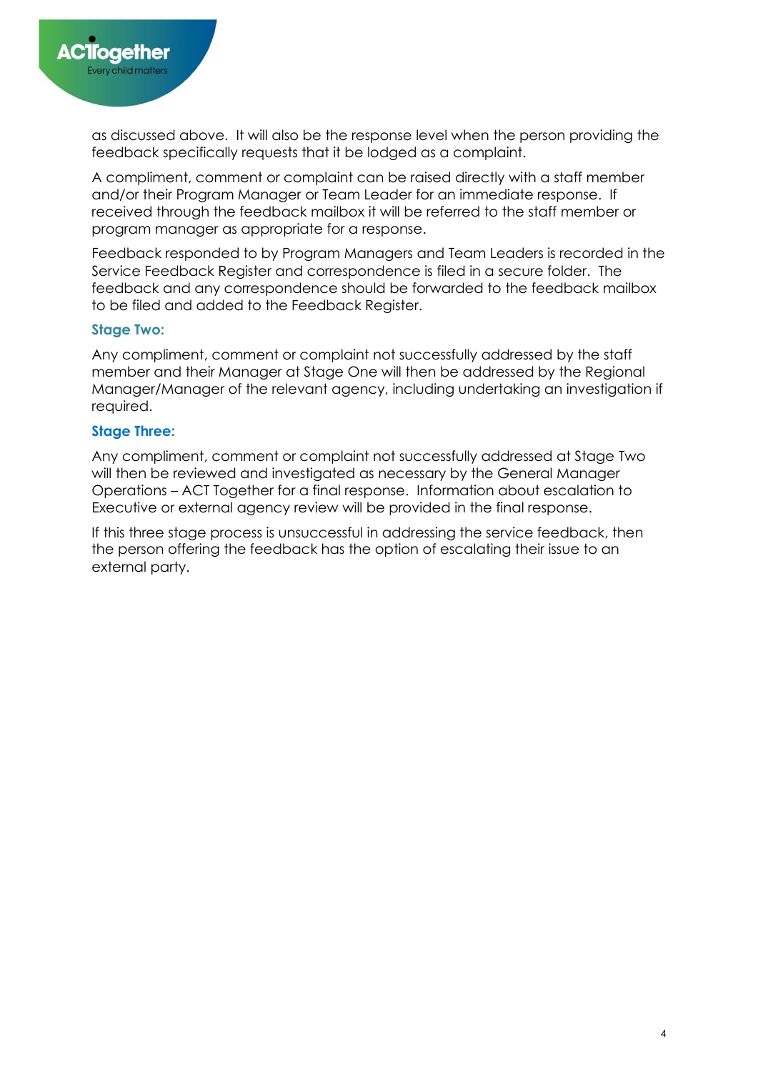

as discussed above. It will also be the response level when the person providing the feedback specifically requests that it be lodged as a complaint.

A compliment, comment or complaint can be raised directly with a staff member and/or their Program Manager or Team Leader for an immediate response. If received through the feedback mailbox it will be referred to the staff member or program manager as appropriate for a response.

Feedback responded to by Program Managers and Team Leaders is recorded in the Service Feedback Register and correspondence is filed in a secure folder. The feedback and any correspondence should be forwarded to the feedback mailbox to be filed and added to the Feedback Register.

#### **Stage Two:**

Any compliment, comment or complaint not successfully addressed by the staff member and their Manager at Stage One will then be addressed by the Regional Manager/Manager of the relevant agency, including undertaking an investigation if required.

#### **Stage Three:**

Any compliment, comment or complaint not successfully addressed at Stage Two will then be reviewed and investigated as necessary by the General Manager Operations – ACT Together for a final response. Information about escalation to Executive or external agency review will be provided in the final response.

If this three stage process is unsuccessful in addressing the service feedback, then the person offering the feedback has the option of escalating their issue to an external party.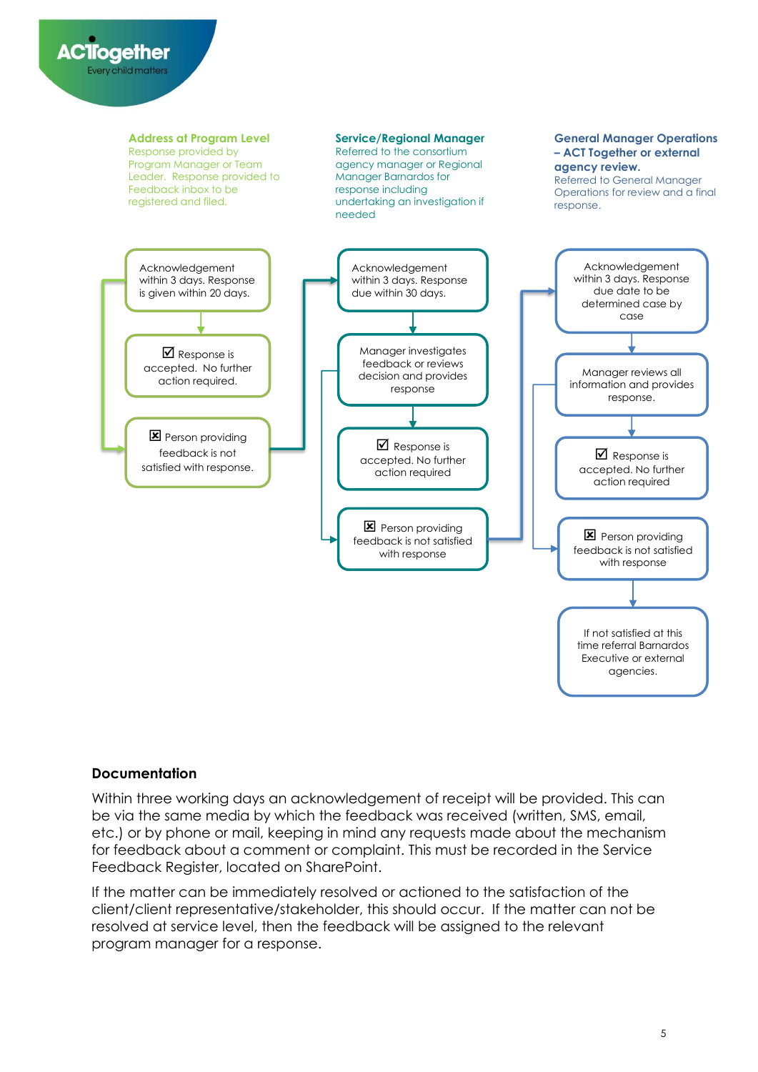

#### **Documentation**

Within three working days an acknowledgement of receipt will be provided. This can be via the same media by which the feedback was received (written, SMS, email, etc.) or by phone or mail, keeping in mind any requests made about the mechanism for feedback about a comment or complaint. This must be recorded in the Service Feedback Register, located on SharePoint.

If the matter can be immediately resolved or actioned to the satisfaction of the client/client representative/stakeholder, this should occur. If the matter can not be resolved at service level, then the feedback will be assigned to the relevant program manager for a response.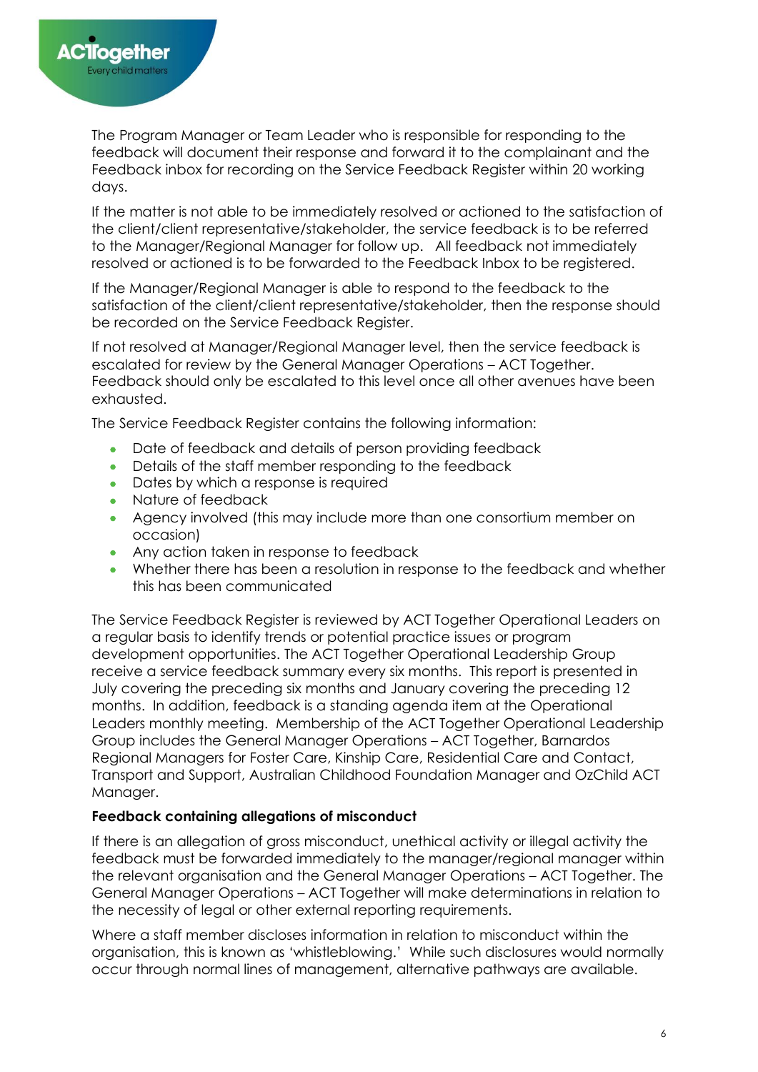The Program Manager or Team Leader who is responsible for responding to the feedback will document their response and forward it to the complainant and the Feedback inbox for recording on the Service Feedback Register within 20 working days.

If the matter is not able to be immediately resolved or actioned to the satisfaction of the client/client representative/stakeholder, the service feedback is to be referred to the Manager/Regional Manager for follow up. All feedback not immediately resolved or actioned is to be forwarded to the Feedback Inbox to be registered.

If the Manager/Regional Manager is able to respond to the feedback to the satisfaction of the client/client representative/stakeholder, then the response should be recorded on the Service Feedback Register.

If not resolved at Manager/Regional Manager level, then the service feedback is escalated for review by the General Manager Operations – ACT Together. Feedback should only be escalated to this level once all other avenues have been exhausted.

The Service Feedback Register contains the following information:

- Date of feedback and details of person providing feedback
- Details of the staff member responding to the feedback
- Dates by which a response is required
- Nature of feedback
- Agency involved (this may include more than one consortium member on occasion)
- Any action taken in response to feedback
- Whether there has been a resolution in response to the feedback and whether this has been communicated

The Service Feedback Register is reviewed by ACT Together Operational Leaders on a regular basis to identify trends or potential practice issues or program development opportunities. The ACT Together Operational Leadership Group receive a service feedback summary every six months. This report is presented in July covering the preceding six months and January covering the preceding 12 months. In addition, feedback is a standing agenda item at the Operational Leaders monthly meeting. Membership of the ACT Together Operational Leadership Group includes the General Manager Operations – ACT Together, Barnardos Regional Managers for Foster Care, Kinship Care, Residential Care and Contact, Transport and Support, Australian Childhood Foundation Manager and OzChild ACT Manager.

# **Feedback containing allegations of misconduct**

If there is an allegation of gross misconduct, unethical activity or illegal activity the feedback must be forwarded immediately to the manager/regional manager within the relevant organisation and the General Manager Operations – ACT Together. The General Manager Operations – ACT Together will make determinations in relation to the necessity of legal or other external reporting requirements.

Where a staff member discloses information in relation to misconduct within the organisation, this is known as 'whistleblowing.' While such disclosures would normally occur through normal lines of management, alternative pathways are available.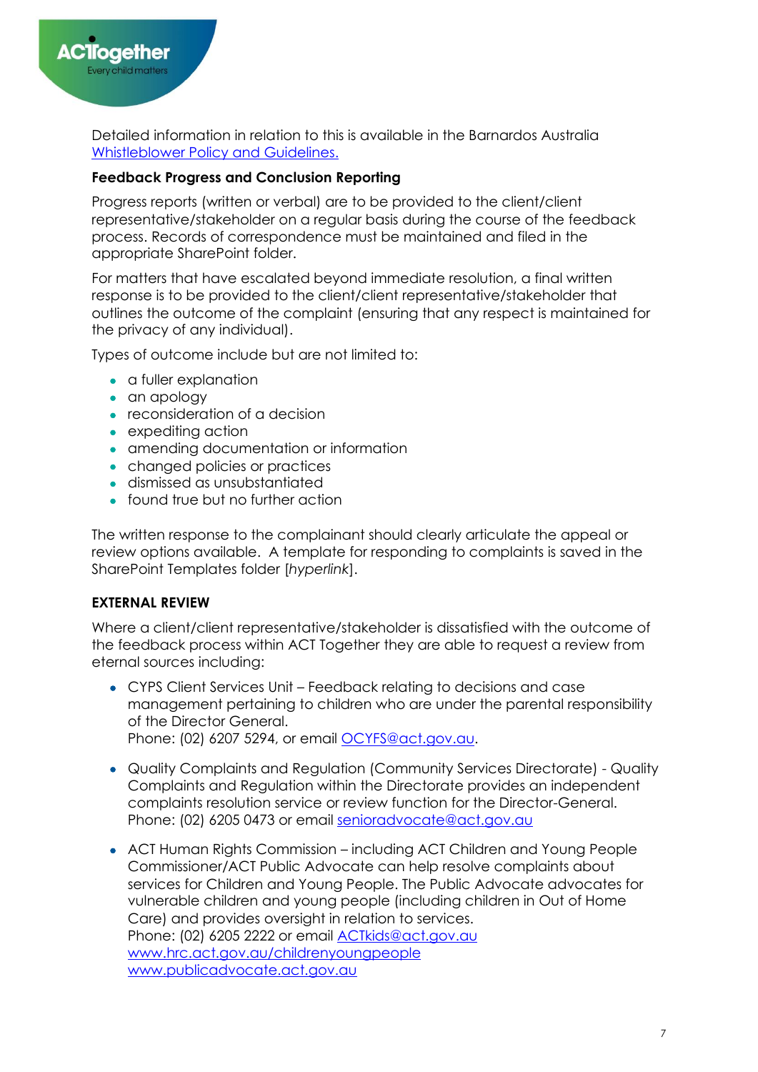

Detailed information in relation to this is available in the Barnardos Australia [Whistleblower Policy and Guidelines.](https://barnardosau.sharepoint.com/sites/Policies/PolicyProcedure/Forms/AllItems.aspx?id=%2Fsites%2FPolicies%2FPolicyProcedure%2FPeople%20%26%20Culture%2FHuman%20Resources%2FWhistleblower%20Policy%2Epdf&parent=%2Fsites%2FPolicies%2FPolicyProcedure%2FPeople%20%26%20Culture%2FHuman%20Resources)

# **Feedback Progress and Conclusion Reporting**

Progress reports (written or verbal) are to be provided to the client/client representative/stakeholder on a regular basis during the course of the feedback process. Records of correspondence must be maintained and filed in the appropriate SharePoint folder.

For matters that have escalated beyond immediate resolution, a final written response is to be provided to the client/client representative/stakeholder that outlines the outcome of the complaint (ensuring that any respect is maintained for the privacy of any individual).

Types of outcome include but are not limited to:

- a fuller explanation
- an apology
- reconsideration of a decision
- expediting action
- amending documentation or information
- changed policies or practices
- dismissed as unsubstantiated
- found true but no further action

The written response to the complainant should clearly articulate the appeal or review options available. A template for responding to complaints is saved in the SharePoint Templates folder [*hyperlink*].

# **EXTERNAL REVIEW**

Where a client/client representative/stakeholder is dissatisfied with the outcome of the feedback process within ACT Together they are able to request a review from eternal sources including:

• CYPS Client Services Unit – Feedback relating to decisions and case management pertaining to children who are under the parental responsibility of the Director General.

Phone: (02) 6207 5294, or email [OCYFS@act.gov.au.](mailto:OCYFS@act.gov.au)

- Quality Complaints and Regulation (Community Services Directorate) Quality Complaints and Regulation within the Directorate provides an independent complaints resolution service or review function for the Director-General. Phone: (02) 6205 0473 or email [senioradvocate@act.gov.au](mailto:senioradvocate@act.gov.au)
- ACT Human Rights Commission including ACT Children and Young People Commissioner/ACT Public Advocate can help resolve complaints about services for Children and Young People. The Public Advocate advocates for vulnerable children and young people (including children in Out of Home Care) and provides oversight in relation to services. Phone: (02) 6205 2222 or email [ACTkids@act.gov.au](mailto:ACTkids@act.gov.au) [www.hrc.act.gov.au/childrenyoungpeople](http://www.hrc.act.gov.au/childrenyoungpeople/) [www.publicadvocate.act.gov.au](http://www.publicadvocate.act.gov.au/)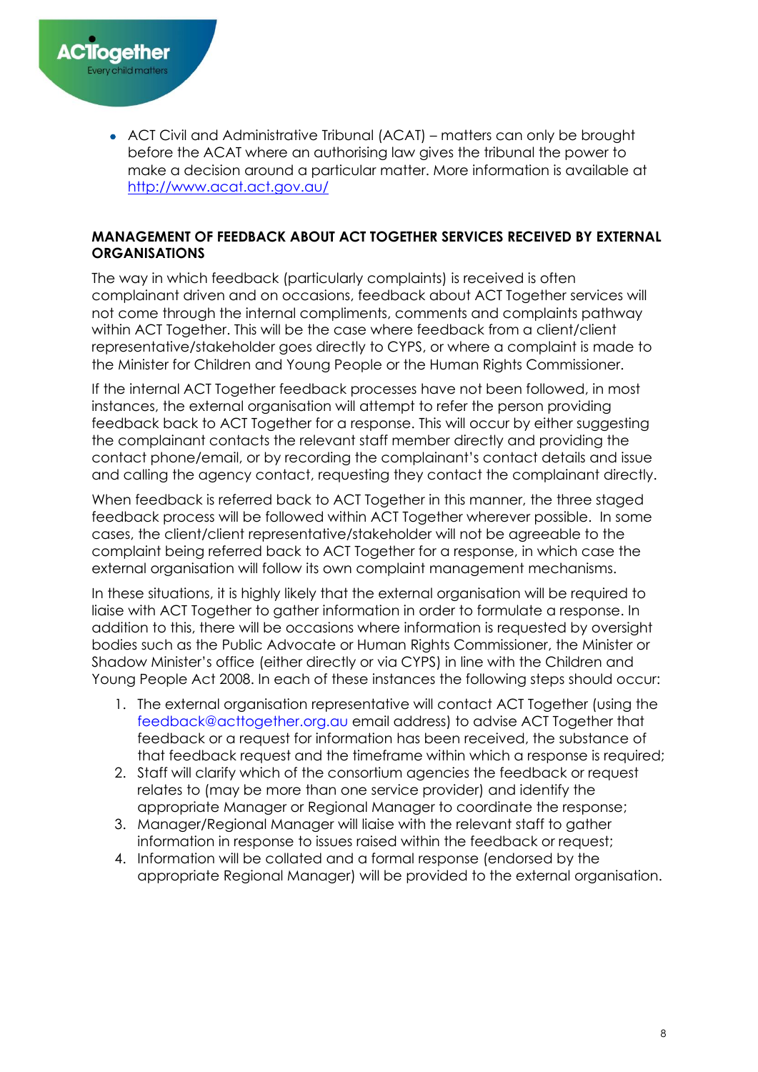

• ACT Civil and Administrative Tribunal (ACAT) – matters can only be brought before the ACAT where an authorising law gives the tribunal the power to make a decision around a particular matter. More information is available at <http://www.acat.act.gov.au/>

#### **MANAGEMENT OF FEEDBACK ABOUT ACT TOGETHER SERVICES RECEIVED BY EXTERNAL ORGANISATIONS**

The way in which feedback (particularly complaints) is received is often complainant driven and on occasions, feedback about ACT Together services will not come through the internal compliments, comments and complaints pathway within ACT Together. This will be the case where feedback from a client/client representative/stakeholder goes directly to CYPS, or where a complaint is made to the Minister for Children and Young People or the Human Rights Commissioner.

If the internal ACT Together feedback processes have not been followed, in most instances, the external organisation will attempt to refer the person providing feedback back to ACT Together for a response. This will occur by either suggesting the complainant contacts the relevant staff member directly and providing the contact phone/email, or by recording the complainant's contact details and issue and calling the agency contact, requesting they contact the complainant directly.

When feedback is referred back to ACT Together in this manner, the three staged feedback process will be followed within ACT Together wherever possible. In some cases, the client/client representative/stakeholder will not be agreeable to the complaint being referred back to ACT Together for a response, in which case the external organisation will follow its own complaint management mechanisms.

In these situations, it is highly likely that the external organisation will be required to liaise with ACT Together to gather information in order to formulate a response. In addition to this, there will be occasions where information is requested by oversight bodies such as the Public Advocate or Human Rights Commissioner, the Minister or Shadow Minister's office (either directly or via CYPS) in line with the Children and Young People Act 2008. In each of these instances the following steps should occur:

- 1. The external organisation representative will contact ACT Together (using the [feedback@acttogether.org.au](mailto:feedback@acttogether.org.au) email address) to advise ACT Together that feedback or a request for information has been received, the substance of that feedback request and the timeframe within which a response is required;
- 2. Staff will clarify which of the consortium agencies the feedback or request relates to (may be more than one service provider) and identify the appropriate Manager or Regional Manager to coordinate the response;
- 3. Manager/Regional Manager will liaise with the relevant staff to gather information in response to issues raised within the feedback or request;
- 4. Information will be collated and a formal response (endorsed by the appropriate Regional Manager) will be provided to the external organisation.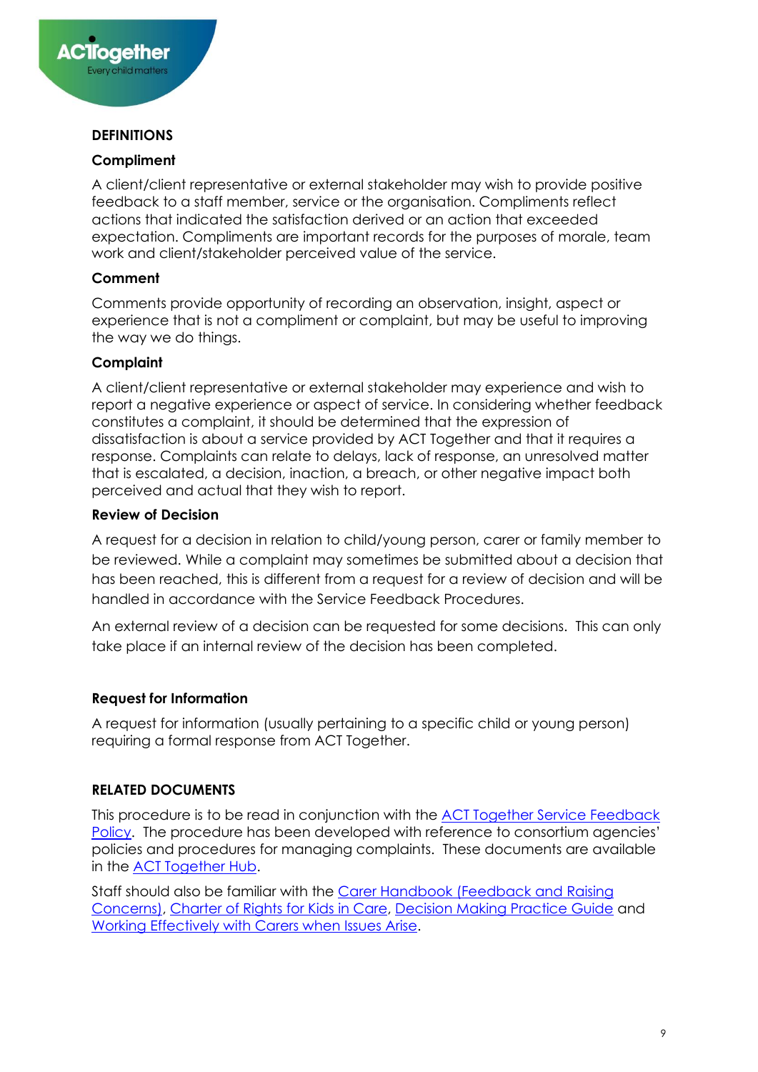

# **DEFINITIONS**

#### **Compliment**

A client/client representative or external stakeholder may wish to provide positive feedback to a staff member, service or the organisation. Compliments reflect actions that indicated the satisfaction derived or an action that exceeded expectation. Compliments are important records for the purposes of morale, team work and client/stakeholder perceived value of the service.

#### **Comment**

Comments provide opportunity of recording an observation, insight, aspect or experience that is not a compliment or complaint, but may be useful to improving the way we do things.

#### **Complaint**

A client/client representative or external stakeholder may experience and wish to report a negative experience or aspect of service. In considering whether feedback constitutes a complaint, it should be determined that the expression of dissatisfaction is about a service provided by ACT Together and that it requires a response. Complaints can relate to delays, lack of response, an unresolved matter that is escalated, a decision, inaction, a breach, or other negative impact both perceived and actual that they wish to report.

#### **Review of Decision**

A request for a decision in relation to child/young person, carer or family member to be reviewed. While a complaint may sometimes be submitted about a decision that has been reached, this is different from a request for a review of decision and will be handled in accordance with the Service Feedback Procedures.

An external review of a decision can be requested for some decisions. This can only take place if an internal review of the decision has been completed.

#### **Request for Information**

A request for information (usually pertaining to a specific child or young person) requiring a formal response from ACT Together.

# **RELATED DOCUMENTS**

This procedure is to be read in conjunction with the [ACT Together Service Feedback](https://barnardosau.sharepoint.com/sites/ACT-Together-Hub/sitepages/Service-Feedback-Policy-and-Forms.aspx)  [Policy](https://barnardosau.sharepoint.com/sites/ACT-Together-Hub/sitepages/Service-Feedback-Policy-and-Forms.aspx). The procedure has been developed with reference to consortium agencies' policies and procedures for managing complaints. These documents are available in the [ACT Together Hub.](https://barnardosau.sharepoint.com/sites/ACT-Together-Hub)

Staff should also be familiar with the [Carer Handbook \(Feedback and Raising](https://www.communityservices.act.gov.au/ocyfs/families-and-carers/carer-handbook/feedback)  [Concerns\),](https://www.communityservices.act.gov.au/ocyfs/families-and-carers/carer-handbook/feedback) [Charter of Rights for Kids in Care,](https://www.communityservices.act.gov.au/ocyfs/act_charter_of_rights) [Decision Making Practice Guide](https://barnardosau.sharepoint.com/sites/ACT-Together-Hub/ACT%20Together%20Hub/Forms/AllItems.aspx?id=%2Fsites%2FACT%2DTogether%2DHub%2FACT%20Together%20Hub%2FFoster%20%26%20Kinship%20Care%2FPolicies%20%26%20Procedures%2FDecision%20Making%20Practice%20Guide%2Epdf&parent=%2Fsites%2FACT%2DTogether%2DHub%2FACT%20Together%20Hub%2FFoster%20%26%20Kinship%20Care%2FPolicies%20%26%20Procedures) and [Working Effectively with Carers when Issues Arise.](https://barnardosau.sharepoint.com/sites/ACT-Together-Hub/ACT%20Together%20Hub/Forms/AllItems.aspx?id=%2Fsites%2FACT%2DTogether%2DHub%2FACT%20Together%20Hub%2FFoster%20%26%20Kinship%20Care%2FPolicies%20%26%20Procedures%2FWorking%20effectively%20with%20carers%20when%20issues%20arise%20%5F%20Policy%20and%20Practice%20Framework%2Epdf&parent=%2Fsites%2FACT%2DTogether%2DHub%2FACT%20Together%20Hub%2FFoster%20%26%20Kinship%20Care%2FPolicies%20%26%20Procedures)